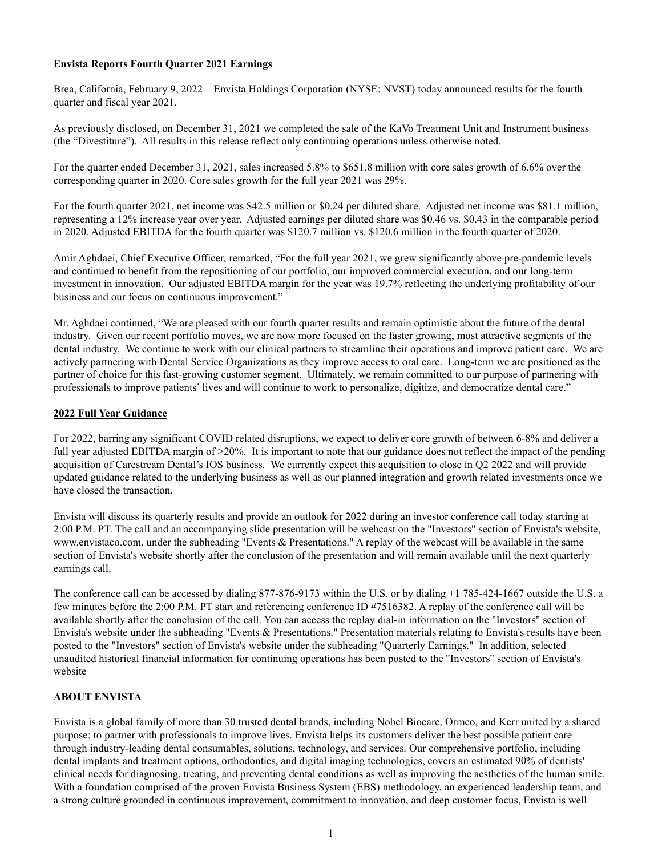### Envista Reports Fourth Quarter 2021 Earnings

Brea, California, February 9, 2022 – Envista Holdings Corporation (NYSE: NVST) today announced results for the fourth quarter and fiscal year 2021.

As previously disclosed, on December 31, 2021 we completed the sale of the KaVo Treatment Unit and Instrument business (the "Divestiture"). All results in this release reflect only continuing operations unless otherwise noted.

For the quarter ended December 31, 2021, sales increased 5.8% to \$651.8 million with core sales growth of 6.6% over the corresponding quarter in 2020. Core sales growth for the full year 2021 was 29%.

For the fourth quarter 2021, net income was \$42.5 million or \$0.24 per diluted share. Adjusted net income was \$81.1 million, representing a 12% increase year over year. Adjusted earnings per diluted share was \$0.46 vs. \$0.43 in the comparable period in 2020. Adjusted EBITDA for the fourth quarter was \$120.7 million vs. \$120.6 million in the fourth quarter of 2020.

Amir Aghdaei, Chief Executive Officer, remarked, "For the full year 2021, we grew significantly above pre-pandemic levels and continued to benefit from the repositioning of our portfolio, our improved commercial execution, and our long-term investment in innovation. Our adjusted EBITDA margin for the year was 19.7% reflecting the underlying profitability of our business and our focus on continuous improvement."

Mr. Aghdaei continued, "We are pleased with our fourth quarter results and remain optimistic about the future of the dental industry. Given our recent portfolio moves, we are now more focused on the faster growing, most attractive segments of the dental industry. We continue to work with our clinical partners to streamline their operations and improve patient care. We are actively partnering with Dental Service Organizations as they improve access to oral care. Long-term we are positioned as the partner of choice for this fast-growing customer segment. Ultimately, we remain committed to our purpose of partnering with professionals to improve patients' lives and will continue to work to personalize, digitize, and democratize dental care."

### 2022 Full Year Guidance

For 2022, barring any significant COVID related disruptions, we expect to deliver core growth of between 6-8% and deliver a full year adjusted EBITDA margin of >20%. It is important to note that our guidance does not reflect the impact of the pending acquisition of Carestream Dental's IOS business. We currently expect this acquisition to close in Q2 2022 and will provide updated guidance related to the underlying business as well as our planned integration and growth related investments once we have closed the transaction.

Envista will discuss its quarterly results and provide an outlook for 2022 during an investor conference call today starting at 2:00 P.M. PT. The call and an accompanying slide presentation will be webcast on the "Investors" section of Envista's website, www.envistaco.com, under the subheading "Events & Presentations." A replay of the webcast will be available in the same section of Envista's website shortly after the conclusion of the presentation and will remain available until the next quarterly earnings call.

The conference call can be accessed by dialing 877-876-9173 within the U.S. or by dialing +1 785-424-1667 outside the U.S. a few minutes before the 2:00 P.M. PT start and referencing conference ID #7516382. A replay of the conference call will be available shortly after the conclusion of the call. You can access the replay dial-in information on the "Investors" section of Envista's website under the subheading "Events & Presentations." Presentation materials relating to Envista's results have been posted to the "Investors" section of Envista's website under the subheading "Quarterly Earnings." In addition, selected unaudited historical financial information for continuing operations has been posted to the "Investors" section of Envista's website

### ABOUT ENVISTA

Envista is a global family of more than 30 trusted dental brands, including Nobel Biocare, Ormco, and Kerr united by a shared purpose: to partner with professionals to improve lives. Envista helps its customers deliver the best possible patient care through industry-leading dental consumables, solutions, technology, and services. Our comprehensive portfolio, including dental implants and treatment options, orthodontics, and digital imaging technologies, covers an estimated 90% of dentists' clinical needs for diagnosing, treating, and preventing dental conditions as well as improving the aesthetics of the human smile. With a foundation comprised of the proven Envista Business System (EBS) methodology, an experienced leadership team, and a strong culture grounded in continuous improvement, commitment to innovation, and deep customer focus, Envista is well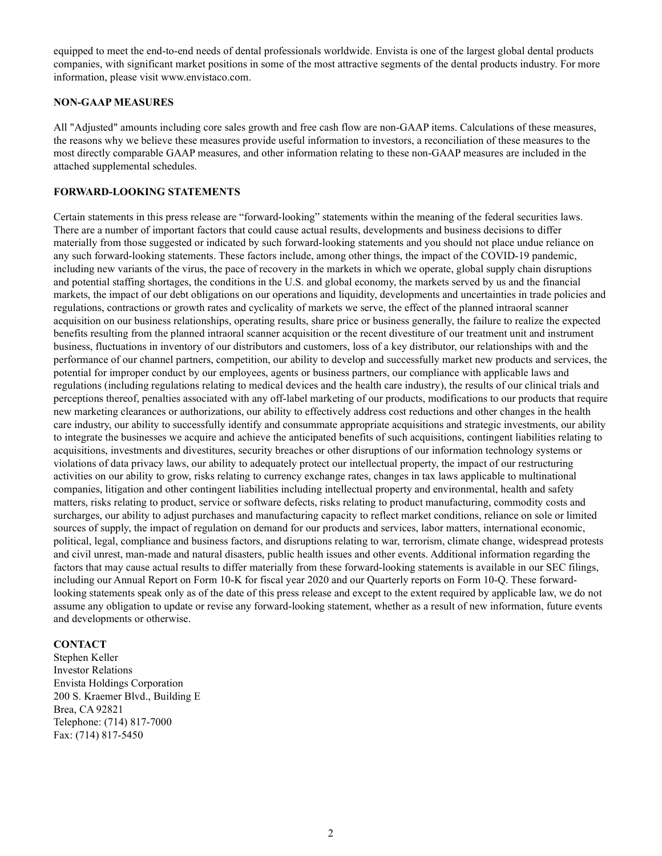equipped to meet the end-to-end needs of dental professionals worldwide. Envista is one of the largest global dental products companies, with significant market positions in some of the most attractive segments of the dental products industry. For more information, please visit www.envistaco.com.

#### NON-GAAP MEASURES

All "Adjusted" amounts including core sales growth and free cash flow are non-GAAP items. Calculations of these measures, the reasons why we believe these measures provide useful information to investors, a reconciliation of these measures to the most directly comparable GAAP measures, and other information relating to these non-GAAP measures are included in the attached supplemental schedules.

### FORWARD-LOOKING STATEMENTS

Certain statements in this press release are "forward-looking" statements within the meaning of the federal securities laws. There are a number of important factors that could cause actual results, developments and business decisions to differ materially from those suggested or indicated by such forward-looking statements and you should not place undue reliance on any such forward-looking statements. These factors include, among other things, the impact of the COVID-19 pandemic, including new variants of the virus, the pace of recovery in the markets in which we operate, global supply chain disruptions and potential staffing shortages, the conditions in the U.S. and global economy, the markets served by us and the financial markets, the impact of our debt obligations on our operations and liquidity, developments and uncertainties in trade policies and regulations, contractions or growth rates and cyclicality of markets we serve, the effect of the planned intraoral scanner acquisition on our business relationships, operating results, share price or business generally, the failure to realize the expected benefits resulting from the planned intraoral scanner acquisition or the recent divestiture of our treatment unit and instrument business, fluctuations in inventory of our distributors and customers, loss of a key distributor, our relationships with and the performance of our channel partners, competition, our ability to develop and successfully market new products and services, the potential for improper conduct by our employees, agents or business partners, our compliance with applicable laws and regulations (including regulations relating to medical devices and the health care industry), the results of our clinical trials and perceptions thereof, penalties associated with any off-label marketing of our products, modifications to our products that require new marketing clearances or authorizations, our ability to effectively address cost reductions and other changes in the health care industry, our ability to successfully identify and consummate appropriate acquisitions and strategic investments, our ability to integrate the businesses we acquire and achieve the anticipated benefits of such acquisitions, contingent liabilities relating to acquisitions, investments and divestitures, security breaches or other disruptions of our information technology systems or violations of data privacy laws, our ability to adequately protect our intellectual property, the impact of our restructuring activities on our ability to grow, risks relating to currency exchange rates, changes in tax laws applicable to multinational companies, litigation and other contingent liabilities including intellectual property and environmental, health and safety matters, risks relating to product, service or software defects, risks relating to product manufacturing, commodity costs and surcharges, our ability to adjust purchases and manufacturing capacity to reflect market conditions, reliance on sole or limited sources of supply, the impact of regulation on demand for our products and services, labor matters, international economic, political, legal, compliance and business factors, and disruptions relating to war, terrorism, climate change, widespread protests and civil unrest, man-made and natural disasters, public health issues and other events. Additional information regarding the factors that may cause actual results to differ materially from these forward-looking statements is available in our SEC filings, including our Annual Report on Form 10-K for fiscal year 2020 and our Quarterly reports on Form 10-Q. These forwardlooking statements speak only as of the date of this press release and except to the extent required by applicable law, we do not assume any obligation to update or revise any forward-looking statement, whether as a result of new information, future events and developments or otherwise.

#### **CONTACT**

Stephen Keller Investor Relations Envista Holdings Corporation 200 S. Kraemer Blvd., Building E Brea, CA 92821 Telephone: (714) 817-7000 Fax: (714) 817-5450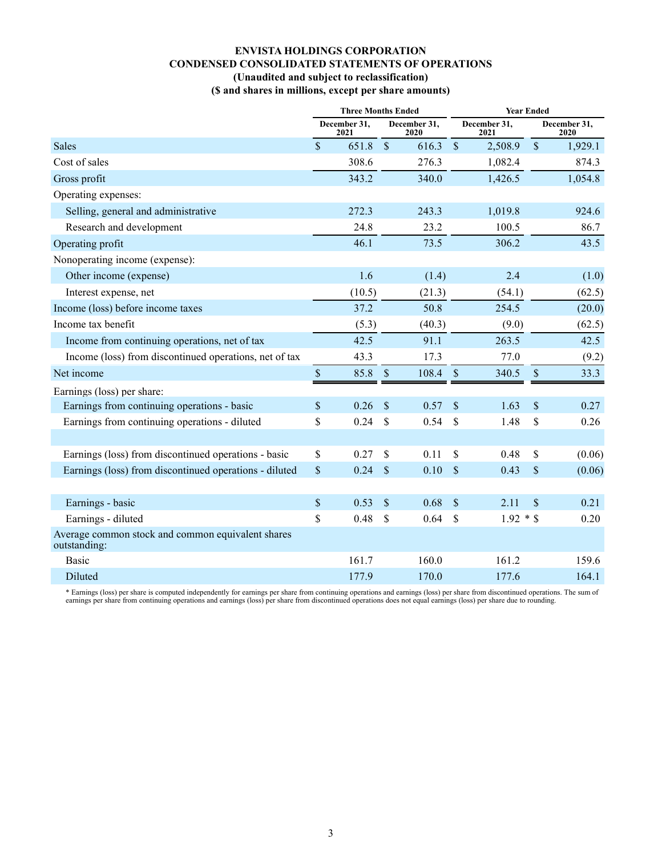# ENVISTA HOLDINGS CORPORATION CONDENSED CONSOLIDATED STATEMENTS OF OPERATIONS (Unaudited and subject to reclassification)

(\$ and shares in millions, except per share amounts)

|                                                                   | <b>Three Months Ended</b> |                      |               |                      | <b>Year Ended</b>  |                      |               |                      |
|-------------------------------------------------------------------|---------------------------|----------------------|---------------|----------------------|--------------------|----------------------|---------------|----------------------|
|                                                                   |                           | December 31,<br>2021 |               | December 31,<br>2020 |                    | December 31,<br>2021 |               | December 31,<br>2020 |
| Sales                                                             | $\mathsf{\$}$             | 651.8                | $\sqrt{\ }$   | 616.3                | $\mathcal{S}$      | 2,508.9              | $\mathcal{S}$ | 1,929.1              |
| Cost of sales                                                     |                           | 308.6                |               | 276.3                |                    | 1,082.4              |               | 874.3                |
| Gross profit                                                      |                           | 343.2                |               | 340.0                |                    | 1,426.5              |               | 1,054.8              |
| Operating expenses:                                               |                           |                      |               |                      |                    |                      |               |                      |
| Selling, general and administrative                               |                           | 272.3                |               | 243.3                |                    | 1,019.8              |               | 924.6                |
| Research and development                                          |                           | 24.8                 |               | 23.2                 |                    | 100.5                |               | 86.7                 |
| Operating profit                                                  |                           | 46.1                 |               | 73.5                 |                    | 306.2                |               | 43.5                 |
| Nonoperating income (expense):                                    |                           |                      |               |                      |                    |                      |               |                      |
| Other income (expense)                                            |                           | 1.6                  |               | (1.4)                |                    | 2.4                  |               | (1.0)                |
| Interest expense, net                                             |                           | (10.5)               |               | (21.3)               |                    | (54.1)               |               | (62.5)               |
| Income (loss) before income taxes                                 |                           | 37.2                 |               | 50.8                 |                    | 254.5                |               | (20.0)               |
| Income tax benefit                                                |                           | (5.3)                |               | (40.3)               |                    | (9.0)                |               | (62.5)               |
| Income from continuing operations, net of tax                     |                           | 42.5                 |               | 91.1                 |                    | 263.5                |               | 42.5                 |
| Income (loss) from discontinued operations, net of tax            |                           | 43.3                 |               | 17.3                 |                    | 77.0                 |               | (9.2)                |
| Net income                                                        | $\mathbb S$               | 85.8                 | $\sqrt{\ }$   | 108.4                | $\mathcal{S}$      | 340.5                | $\mathcal{S}$ | 33.3                 |
| Earnings (loss) per share:                                        |                           |                      |               |                      |                    |                      |               |                      |
| Earnings from continuing operations - basic                       | $\mathcal{S}$             | 0.26                 | $\mathcal{S}$ | 0.57                 | $\mathcal{S}$      | 1.63                 | $\mathbf{\$}$ | 0.27                 |
| Earnings from continuing operations - diluted                     | \$                        | 0.24                 | \$            | 0.54                 | $\mathbf{\hat{S}}$ | 1.48                 | \$            | 0.26                 |
|                                                                   |                           |                      |               |                      |                    |                      |               |                      |
| Earnings (loss) from discontinued operations - basic              | $\mathbb{S}$              | 0.27                 | $\mathbb{S}$  | 0.11                 | $\mathbb{S}$       | 0.48                 | $\mathbb{S}$  | (0.06)               |
| Earnings (loss) from discontinued operations - diluted            | $\$$                      | 0.24                 | \$            | 0.10                 | \$                 | 0.43                 | \$            | (0.06)               |
|                                                                   |                           |                      |               |                      |                    |                      |               |                      |
| Earnings - basic                                                  | $\$$                      | 0.53                 | \$            | 0.68                 | $\mathcal{S}$      | 2.11                 | $\mathcal{S}$ | 0.21                 |
| Earnings - diluted                                                | \$                        | 0.48                 | \$            | 0.64                 | $\mathbf{\hat{S}}$ | $1.92 * $$           |               | 0.20                 |
| Average common stock and common equivalent shares<br>outstanding: |                           |                      |               |                      |                    |                      |               |                      |
| Basic                                                             |                           | 161.7                |               | 160.0                |                    | 161.2                |               | 159.6                |
| Diluted                                                           |                           | 177.9                |               | 170.0                |                    | 177.6                |               | 164.1                |

\* Earnings (loss) per share is computed independently for earnings per share from continuing operations and earnings (loss) per share from discontinued operations. The sum of earnings per share from continuing operations a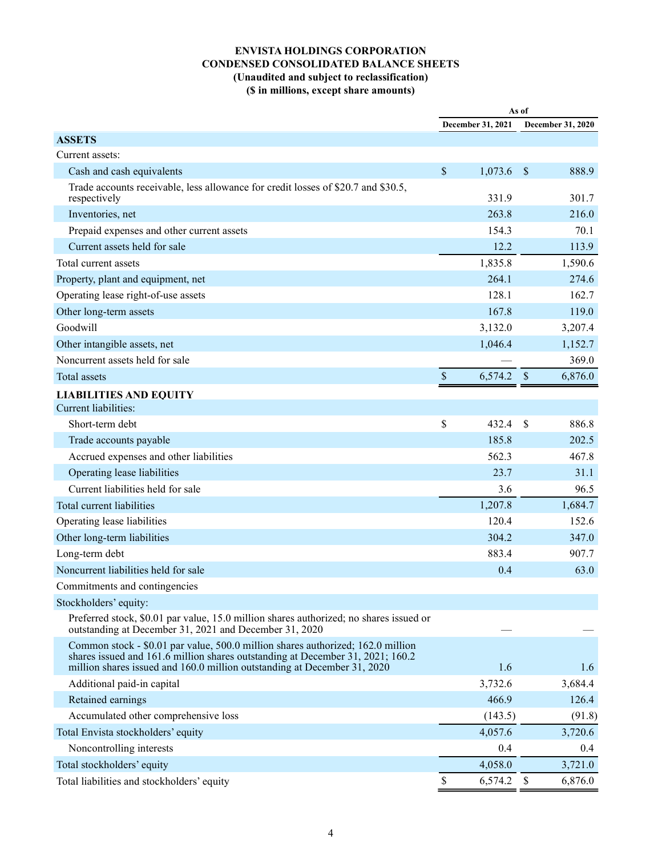## ENVISTA HOLDINGS CORPORATION CONDENSED CONSOLIDATED BALANCE SHEETS (Unaudited and subject to reclassification) (\$ in millions, except share amounts)

|                                                                                                                                                                   | As of                     |                   |               |                   |
|-------------------------------------------------------------------------------------------------------------------------------------------------------------------|---------------------------|-------------------|---------------|-------------------|
|                                                                                                                                                                   |                           | December 31, 2021 |               | December 31, 2020 |
| <b>ASSETS</b>                                                                                                                                                     |                           |                   |               |                   |
| Current assets:                                                                                                                                                   |                           |                   |               |                   |
| Cash and cash equivalents                                                                                                                                         | \$                        | 1,073.6           | $\mathcal{S}$ | 888.9             |
| Trade accounts receivable, less allowance for credit losses of \$20.7 and \$30.5,<br>respectively                                                                 |                           | 331.9             |               | 301.7             |
| Inventories, net                                                                                                                                                  |                           | 263.8             |               | 216.0             |
| Prepaid expenses and other current assets                                                                                                                         |                           | 154.3             |               | 70.1              |
| Current assets held for sale                                                                                                                                      |                           | 12.2              |               | 113.9             |
| Total current assets                                                                                                                                              |                           | 1,835.8           |               | 1,590.6           |
| Property, plant and equipment, net                                                                                                                                |                           | 264.1             |               | 274.6             |
| Operating lease right-of-use assets                                                                                                                               |                           | 128.1             |               | 162.7             |
| Other long-term assets                                                                                                                                            |                           | 167.8             |               | 119.0             |
| Goodwill                                                                                                                                                          |                           | 3,132.0           |               | 3,207.4           |
| Other intangible assets, net                                                                                                                                      |                           | 1,046.4           |               | 1,152.7           |
| Noncurrent assets held for sale                                                                                                                                   |                           |                   |               | 369.0             |
| Total assets                                                                                                                                                      | $\boldsymbol{\mathsf{S}}$ | 6,574.2           | \$            | 6,876.0           |
| <b>LIABILITIES AND EQUITY</b>                                                                                                                                     |                           |                   |               |                   |
| Current liabilities:                                                                                                                                              |                           |                   |               |                   |
| Short-term debt                                                                                                                                                   | \$                        | 432.4             | $\mathcal{S}$ | 886.8             |
| Trade accounts payable                                                                                                                                            |                           | 185.8             |               | 202.5             |
| Accrued expenses and other liabilities                                                                                                                            |                           | 562.3             |               | 467.8             |
| Operating lease liabilities                                                                                                                                       |                           | 23.7              |               | 31.1              |
| Current liabilities held for sale                                                                                                                                 |                           | 3.6               |               | 96.5              |
| Total current liabilities                                                                                                                                         |                           | 1,207.8           |               | 1,684.7           |
| Operating lease liabilities                                                                                                                                       |                           | 120.4             |               | 152.6             |
| Other long-term liabilities                                                                                                                                       |                           | 304.2             |               | 347.0             |
| Long-term debt                                                                                                                                                    |                           | 883.4             |               | 907.7             |
| Noncurrent liabilities held for sale                                                                                                                              |                           | 0.4               |               | 63.0              |
| Commitments and contingencies                                                                                                                                     |                           |                   |               |                   |
| Stockholders' equity:                                                                                                                                             |                           |                   |               |                   |
| Preferred stock, \$0.01 par value, 15.0 million shares authorized; no shares issued or<br>outstanding at December 31, 2021 and December 31, 2020                  |                           |                   |               |                   |
| Common stock - \$0.01 par value, 500.0 million shares authorized; 162.0 million<br>shares issued and 161.6 million shares outstanding at December 31, 2021; 160.2 |                           |                   |               |                   |
| million shares issued and 160.0 million outstanding at December 31, 2020                                                                                          |                           | 1.6<br>3,732.6    |               | 1.6               |
| Additional paid-in capital                                                                                                                                        |                           | 466.9             |               | 3,684.4           |
| Retained earnings                                                                                                                                                 |                           |                   |               | 126.4             |
| Accumulated other comprehensive loss                                                                                                                              |                           | (143.5)           |               | (91.8)            |
| Total Envista stockholders' equity                                                                                                                                |                           | 4,057.6           |               | 3,720.6           |
| Noncontrolling interests                                                                                                                                          |                           | 0.4               |               | 0.4               |
| Total stockholders' equity                                                                                                                                        | $\mathbb{S}$              | 4,058.0           |               | 3,721.0           |
| Total liabilities and stockholders' equity                                                                                                                        |                           | 6,574.2 \$        |               | 6,876.0           |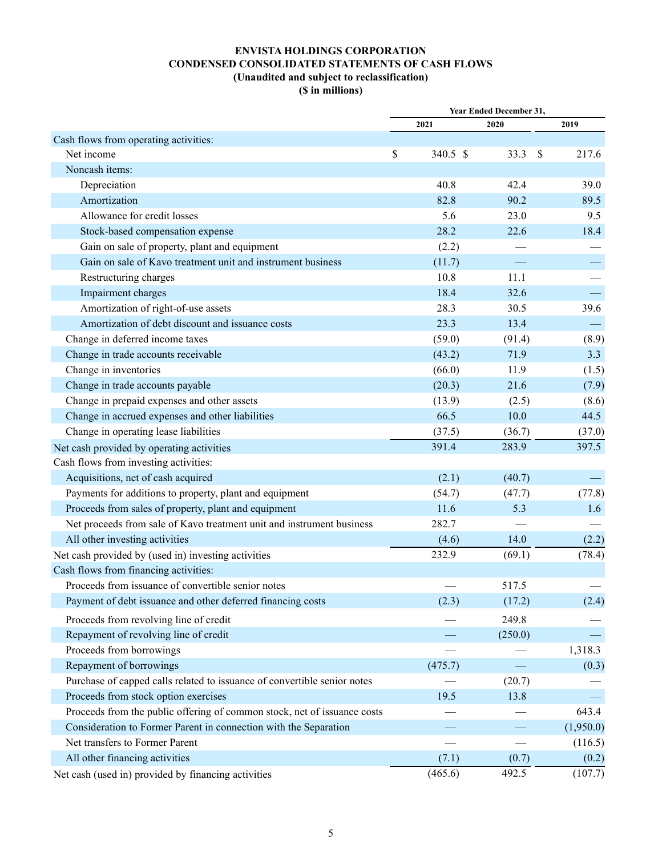## ENVISTA HOLDINGS CORPORATION CONDENSED CONSOLIDATED STATEMENTS OF CASH FLOWS (Unaudited and subject to reclassification) (\$ in millions)

|                                                                          |                | Year Ended December 31, |                        |
|--------------------------------------------------------------------------|----------------|-------------------------|------------------------|
|                                                                          | 2021           | 2020                    | 2019                   |
| Cash flows from operating activities:                                    |                |                         |                        |
| Net income                                                               | \$<br>340.5 \$ | 33.3                    | 217.6<br><sup>\$</sup> |
| Noncash items:                                                           |                |                         |                        |
| Depreciation                                                             | 40.8           | 42.4                    | 39.0                   |
| Amortization                                                             | 82.8           | 90.2                    | 89.5                   |
| Allowance for credit losses                                              | 5.6            | 23.0                    | 9.5                    |
| Stock-based compensation expense                                         | 28.2           | 22.6                    | 18.4                   |
| Gain on sale of property, plant and equipment                            | (2.2)          |                         |                        |
| Gain on sale of Kavo treatment unit and instrument business              | (11.7)         |                         |                        |
| Restructuring charges                                                    | 10.8           | 11.1                    |                        |
| Impairment charges                                                       | 18.4           | 32.6                    |                        |
| Amortization of right-of-use assets                                      | 28.3           | 30.5                    | 39.6                   |
| Amortization of debt discount and issuance costs                         | 23.3           | 13.4                    |                        |
| Change in deferred income taxes                                          | (59.0)         | (91.4)                  | (8.9)                  |
| Change in trade accounts receivable                                      | (43.2)         | 71.9                    | 3.3                    |
| Change in inventories                                                    | (66.0)         | 11.9                    | (1.5)                  |
| Change in trade accounts payable                                         | (20.3)         | 21.6                    | (7.9)                  |
| Change in prepaid expenses and other assets                              | (13.9)         | (2.5)                   | (8.6)                  |
| Change in accrued expenses and other liabilities                         | 66.5           | 10.0                    | 44.5                   |
| Change in operating lease liabilities                                    | (37.5)         | (36.7)                  | (37.0)                 |
| Net cash provided by operating activities                                | 391.4          | 283.9                   | 397.5                  |
| Cash flows from investing activities:                                    |                |                         |                        |
| Acquisitions, net of cash acquired                                       | (2.1)          | (40.7)                  |                        |
| Payments for additions to property, plant and equipment                  | (54.7)         | (47.7)                  | (77.8)                 |
| Proceeds from sales of property, plant and equipment                     | 11.6           | 5.3                     | 1.6                    |
| Net proceeds from sale of Kavo treatment unit and instrument business    | 282.7          |                         |                        |
| All other investing activities                                           | (4.6)          | 14.0                    | (2.2)                  |
| Net cash provided by (used in) investing activities                      | 232.9          | (69.1)                  | (78.4)                 |
| Cash flows from financing activities:                                    |                |                         |                        |
| Proceeds from issuance of convertible senior notes                       |                | 517.5                   |                        |
| Payment of debt issuance and other deferred financing costs              | (2.3)          | (17.2)                  | (2.4)                  |
| Proceeds from revolving line of credit                                   |                | 249.8                   |                        |
| Repayment of revolving line of credit                                    |                | (250.0)                 |                        |
| Proceeds from borrowings                                                 |                |                         | 1,318.3                |
| Repayment of borrowings                                                  | (475.7)        |                         | (0.3)                  |
| Purchase of capped calls related to issuance of convertible senior notes |                | (20.7)                  |                        |
| Proceeds from stock option exercises                                     | 19.5           | 13.8                    |                        |
| Proceeds from the public offering of common stock, net of issuance costs |                |                         | 643.4                  |
| Consideration to Former Parent in connection with the Separation         |                |                         | (1,950.0)              |
| Net transfers to Former Parent                                           |                |                         | (116.5)                |
| All other financing activities                                           | (7.1)          | (0.7)                   | (0.2)                  |
| Net cash (used in) provided by financing activities                      | (465.6)        | 492.5                   | (107.7)                |
|                                                                          |                |                         |                        |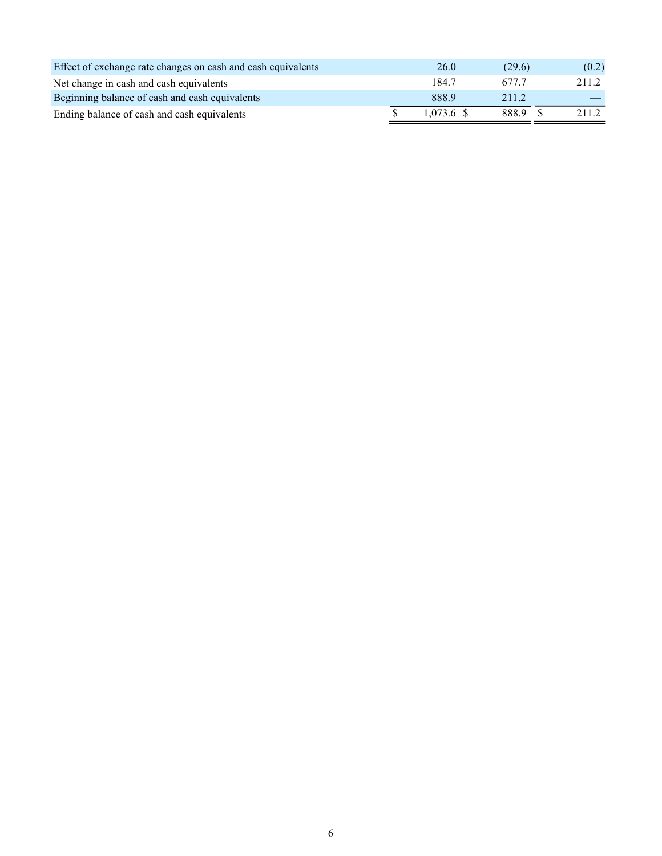| Effect of exchange rate changes on cash and cash equivalents | 26.0         | (29.6) | (0.2) |
|--------------------------------------------------------------|--------------|--------|-------|
| Net change in cash and cash equivalents                      | 184.7        | 677.7  | 211.2 |
| Beginning balance of cash and cash equivalents               | 888.9        | 2.11.2 |       |
| Ending balance of cash and cash equivalents                  | $1.073.6$ \$ | 888.9  | 211.2 |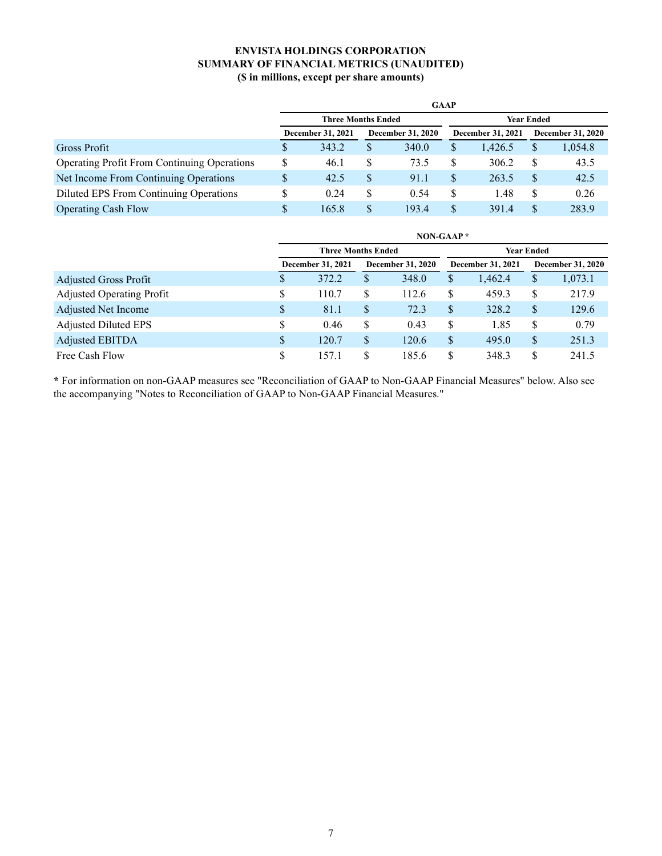## ENVISTA HOLDINGS CORPORATION SUMMARY OF FINANCIAL METRICS (UNAUDITED) (\$ in millions, except per share amounts)

|                                             | <b>GAAP</b>               |       |                          |       |                          |            |                   |         |  |  |  |  |
|---------------------------------------------|---------------------------|-------|--------------------------|-------|--------------------------|------------|-------------------|---------|--|--|--|--|
|                                             | <b>Three Months Ended</b> |       |                          |       |                          | Year Ended |                   |         |  |  |  |  |
|                                             | <b>December 31, 2021</b>  |       | <b>December 31, 2020</b> |       | <b>December 31, 2021</b> |            | December 31, 2020 |         |  |  |  |  |
| Gross Profit                                |                           | 343.2 | S                        | 340.0 | \$                       | 1.426.5    | J.                | 1,054.8 |  |  |  |  |
| Operating Profit From Continuing Operations | S                         | 46.1  | S                        | 73.5  | \$                       | 306.2      |                   | 43.5    |  |  |  |  |
| Net Income From Continuing Operations       |                           | 42.5  | S                        | 91.1  | \$                       | 263.5      | S                 | 42.5    |  |  |  |  |
| Diluted EPS From Continuing Operations      |                           | 0.24  | S                        | 0.54  | \$                       | 1.48       | S                 | 0.26    |  |  |  |  |
| <b>Operating Cash Flow</b>                  |                           | 165.8 | S                        | 193.4 | \$                       | 391.4      |                   | 283.9   |  |  |  |  |

|                                  | NON-GAAP $*$ |                           |    |                          |    |                   |    |                          |  |  |  |  |
|----------------------------------|--------------|---------------------------|----|--------------------------|----|-------------------|----|--------------------------|--|--|--|--|
|                                  |              | <b>Three Months Ended</b> |    |                          |    | <b>Year Ended</b> |    |                          |  |  |  |  |
|                                  |              | December 31, 2021         |    | <b>December 31, 2020</b> |    | December 31, 2021 |    | <b>December 31, 2020</b> |  |  |  |  |
| Adjusted Gross Profit            | \$           | 372.2                     | \$ | 348.0                    | \$ | 1.462.4           | S  | 1,073.1                  |  |  |  |  |
| <b>Adjusted Operating Profit</b> | S            | 110.7                     | \$ | 112.6                    | S  | 459.3             | \$ | 217.9                    |  |  |  |  |
| <b>Adjusted Net Income</b>       | S            | 81.1                      | \$ | 72.3                     | S  | 328.2             | S  | 129.6                    |  |  |  |  |
| <b>Adjusted Diluted EPS</b>      | S            | 0.46                      | \$ | 0.43                     | \$ | 1.85              | S  | 0.79                     |  |  |  |  |
| Adjusted EBITDA                  | \$           | 120.7                     | \$ | 120.6                    | S  | 495.0             | \$ | 251.3                    |  |  |  |  |
| Free Cash Flow                   | S            | 157.1                     | \$ | 185.6                    | \$ | 348.3             |    | 241.5                    |  |  |  |  |

\* For information on non-GAAP measures see "Reconciliation of GAAP to Non-GAAP Financial Measures" below. Also see the accompanying "Notes to Reconciliation of GAAP to Non-GAAP Financial Measures."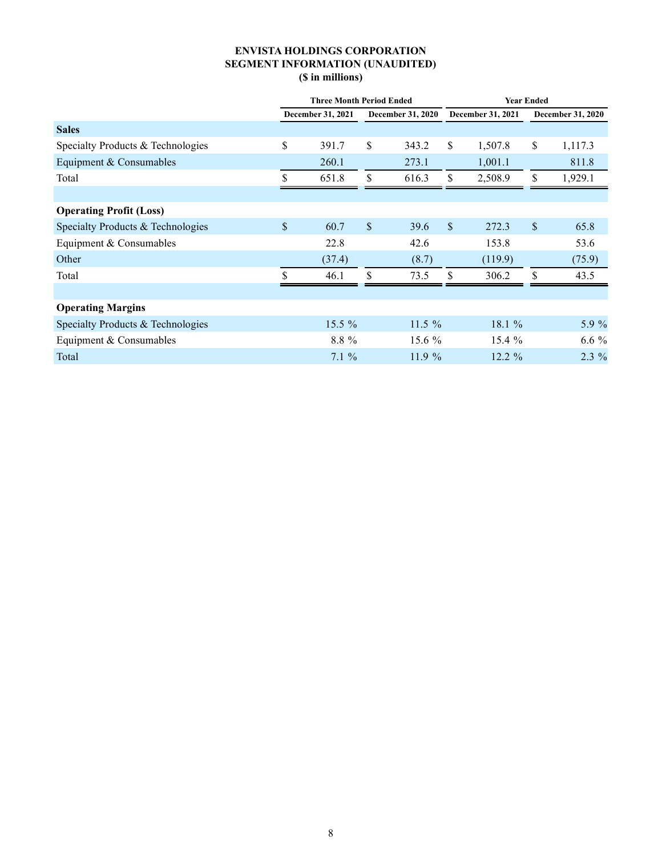## ENVISTA HOLDINGS CORPORATION SEGMENT INFORMATION (UNAUDITED) (\$ in millions)

|                                   | <b>Three Month Period Ended</b> |          |                          |           |                          | <b>Year Ended</b> |                          |         |  |
|-----------------------------------|---------------------------------|----------|--------------------------|-----------|--------------------------|-------------------|--------------------------|---------|--|
|                                   | December 31, 2021               |          | <b>December 31, 2020</b> |           | <b>December 31, 2021</b> |                   | <b>December 31, 2020</b> |         |  |
| <b>Sales</b>                      |                                 |          |                          |           |                          |                   |                          |         |  |
| Specialty Products & Technologies | \$                              | 391.7    | \$                       | 343.2     | \$                       | 1,507.8           | \$                       | 1,117.3 |  |
| Equipment & Consumables           |                                 | 260.1    |                          | 273.1     |                          | 1,001.1           |                          | 811.8   |  |
| Total                             | \$                              | 651.8    | \$                       | 616.3     | $\mathbb{S}$             | 2,508.9           | \$                       | 1,929.1 |  |
|                                   |                                 |          |                          |           |                          |                   |                          |         |  |
| <b>Operating Profit (Loss)</b>    |                                 |          |                          |           |                          |                   |                          |         |  |
| Specialty Products & Technologies | $\mathcal{S}$                   | 60.7     | $\mathcal{S}$            | 39.6      | $\mathcal{S}$            | 272.3             | \$                       | 65.8    |  |
| Equipment & Consumables           |                                 | 22.8     |                          | 42.6      |                          | 153.8             |                          | 53.6    |  |
| Other                             |                                 | (37.4)   |                          | (8.7)     |                          | (119.9)           |                          | (75.9)  |  |
| Total                             | \$                              | 46.1     | \$                       | 73.5      | S.                       | 306.2             | \$                       | 43.5    |  |
|                                   |                                 |          |                          |           |                          |                   |                          |         |  |
| <b>Operating Margins</b>          |                                 |          |                          |           |                          |                   |                          |         |  |
| Specialty Products & Technologies |                                 | $15.5\%$ |                          | $11.5 \%$ |                          | 18.1 $%$          |                          | 5.9 %   |  |
| Equipment & Consumables           |                                 | 8.8 %    |                          | 15.6 %    |                          | 15.4%             |                          | $6.6\%$ |  |
| Total                             |                                 | $7.1\%$  |                          | 11.9%     |                          | $12.2 \%$         |                          | $2.3\%$ |  |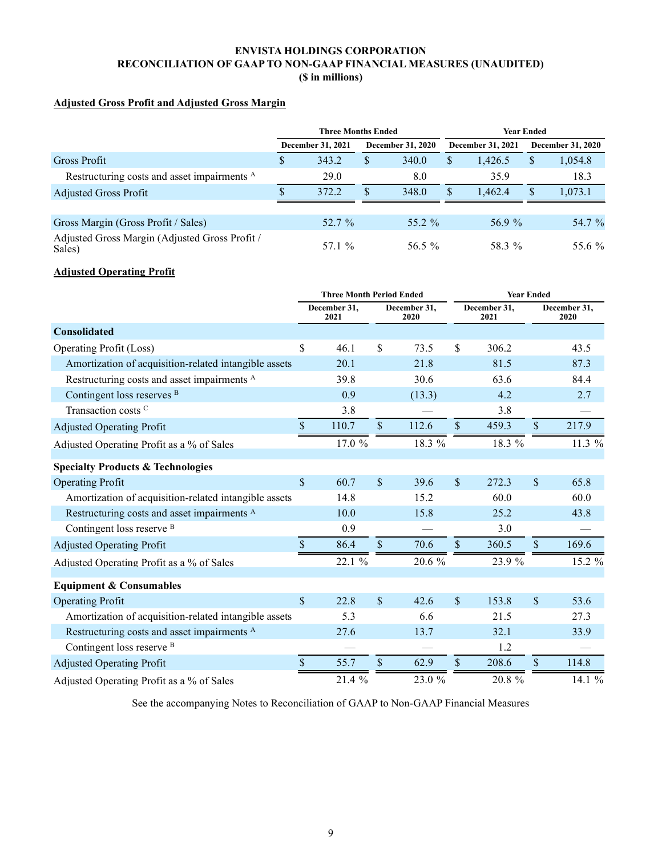## ENVISTA HOLDINGS CORPORATION RECONCILIATION OF GAAP TO NON-GAAP FINANCIAL MEASURES (UNAUDITED) (\$ in millions)

# Adjusted Gross Profit and Adjusted Gross Margin

|                                                          |                   | <b>Three Months Ended</b> |                          |          | <b>Year Ended</b> |                          |                          |         |
|----------------------------------------------------------|-------------------|---------------------------|--------------------------|----------|-------------------|--------------------------|--------------------------|---------|
|                                                          | December 31, 2021 |                           | <b>December 31, 2020</b> |          |                   | <b>December 31, 2021</b> | <b>December 31, 2020</b> |         |
| Gross Profit                                             | S                 | 343.2                     | S                        | 340.0    | S.                | 1.426.5                  | S                        | 1,054.8 |
| Restructuring costs and asset impairments <sup>A</sup>   |                   | 29.0                      |                          | 8.0      |                   | 35.9                     |                          | 18.3    |
| <b>Adjusted Gross Profit</b>                             |                   | 372.2                     | S                        | 348.0    | S                 | 1.462.4                  | S                        | 1,073.1 |
|                                                          |                   |                           |                          |          |                   |                          |                          |         |
| Gross Margin (Gross Profit / Sales)                      |                   | 52.7 %                    |                          | 55.2 $%$ |                   | 56.9%                    |                          | 54.7 %  |
| Adjusted Gross Margin (Adjusted Gross Profit /<br>Sales) |                   | 57.1 %                    |                          | 56.5 $%$ |                   | 58.3 %                   |                          | 55.6 %  |

### Adjusted Operating Profit

|                                                        | <b>Three Month Period Ended</b> |                                              |               |                      | <b>Year Ended</b> |                      |               |        |
|--------------------------------------------------------|---------------------------------|----------------------------------------------|---------------|----------------------|-------------------|----------------------|---------------|--------|
|                                                        |                                 | December 31,<br>December 31,<br>2021<br>2020 |               | December 31,<br>2021 |                   | December 31,<br>2020 |               |        |
| Consolidated                                           |                                 |                                              |               |                      |                   |                      |               |        |
| Operating Profit (Loss)                                | \$                              | 46.1                                         | \$            | 73.5                 | \$                | 306.2                |               | 43.5   |
| Amortization of acquisition-related intangible assets  |                                 | 20.1                                         |               | 21.8                 |                   | 81.5                 |               | 87.3   |
| Restructuring costs and asset impairments <sup>A</sup> |                                 | 39.8                                         |               | 30.6                 |                   | 63.6                 |               | 84.4   |
| Contingent loss reserves <sup>B</sup>                  |                                 | 0.9                                          |               | (13.3)               |                   | 4.2                  |               | 2.7    |
| Transaction costs C                                    |                                 | 3.8                                          |               |                      |                   | 3.8                  |               |        |
| <b>Adjusted Operating Profit</b>                       | \$                              | 110.7                                        | $\mathsf{\$}$ | 112.6                | \$                | 459.3                | $\mathbb{S}$  | 217.9  |
| Adjusted Operating Profit as a % of Sales              |                                 | 17.0 %                                       |               | 18.3 %               |                   | 18.3 %               |               | 11.3 % |
| <b>Specialty Products &amp; Technologies</b>           |                                 |                                              |               |                      |                   |                      |               |        |
| <b>Operating Profit</b>                                | \$                              | 60.7                                         | $\sqrt{\ }$   | 39.6                 | $\mathcal{S}$     | 272.3                | $\mathbb{S}$  | 65.8   |
| Amortization of acquisition-related intangible assets  |                                 | 14.8                                         |               | 15.2                 |                   | 60.0                 |               | 60.0   |
| Restructuring costs and asset impairments <sup>A</sup> |                                 | 10.0                                         |               | 15.8                 |                   | 25.2                 |               | 43.8   |
| Contingent loss reserve <sup>B</sup>                   |                                 | 0.9                                          |               |                      |                   | 3.0                  |               |        |
| <b>Adjusted Operating Profit</b>                       | \$                              | 86.4                                         | $\sqrt{\ }$   | 70.6                 | $\mathcal{S}$     | 360.5                | $\mathcal{S}$ | 169.6  |
| Adjusted Operating Profit as a % of Sales              |                                 | 22.1 %                                       |               | 20.6 %               |                   | 23.9 %               |               | 15.2 % |
| <b>Equipment &amp; Consumables</b>                     |                                 |                                              |               |                      |                   |                      |               |        |
| <b>Operating Profit</b>                                | $\mathbb{S}$                    | 22.8                                         | $\mathsf{\$}$ | 42.6                 | $\mathbb{S}$      | 153.8                | $\mathsf{\$}$ | 53.6   |
| Amortization of acquisition-related intangible assets  |                                 | 5.3                                          |               | 6.6                  |                   | 21.5                 |               | 27.3   |
| Restructuring costs and asset impairments <sup>A</sup> |                                 | 27.6                                         |               | 13.7                 |                   | 32.1                 |               | 33.9   |
| Contingent loss reserve <sup>B</sup>                   |                                 |                                              |               |                      |                   | 1.2                  |               |        |
| <b>Adjusted Operating Profit</b>                       | \$                              | 55.7                                         | \$            | 62.9                 | $\mathbb{S}$      | 208.6                | $\mathcal{S}$ | 114.8  |
| Adjusted Operating Profit as a % of Sales              |                                 | 21.4 %                                       |               | 23.0 %               |                   | 20.8 %               |               | 14.1 % |

See the accompanying Notes to Reconciliation of GAAP to Non-GAAP Financial Measures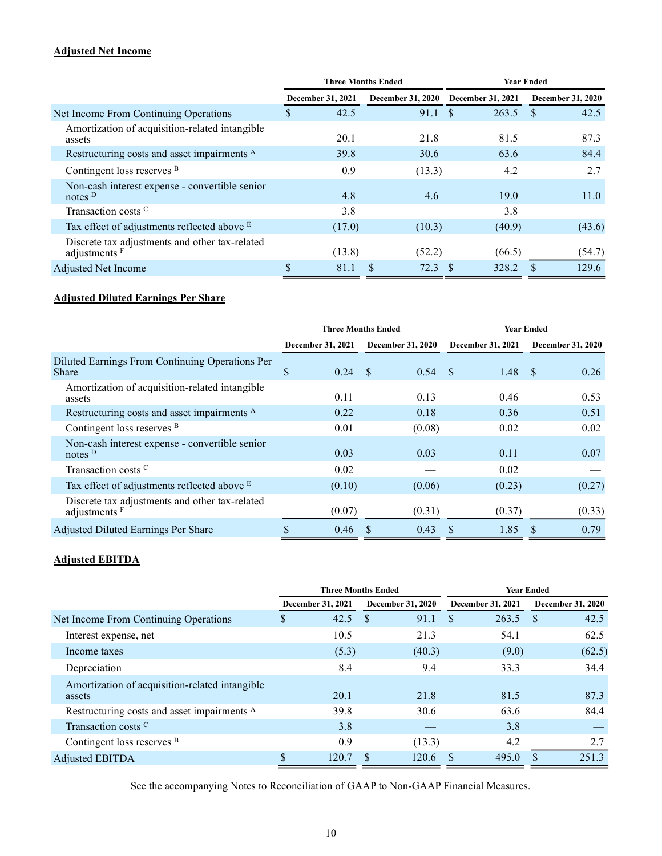# Adjusted Net Income

|                                                                            |                                               | <b>Three Months Ended</b> | <b>Year Ended</b> |                          |  |  |
|----------------------------------------------------------------------------|-----------------------------------------------|---------------------------|-------------------|--------------------------|--|--|
|                                                                            | <b>December 31, 2020</b><br>December 31, 2021 |                           | December 31, 2021 | <b>December 31, 2020</b> |  |  |
| Net Income From Continuing Operations                                      | 42.5<br>\$                                    | 91.1 S                    | 263.5             | 42.5                     |  |  |
| Amortization of acquisition-related intangible<br>assets                   | 20.1                                          | 21.8                      | 81.5              | 87.3                     |  |  |
| Restructuring costs and asset impairments <sup>A</sup>                     | 39.8                                          | 30.6                      | 63.6              | 84.4                     |  |  |
| Contingent loss reserves <sup>B</sup>                                      | 0.9                                           | (13.3)                    | 4.2               | 2.7                      |  |  |
| Non-cash interest expense - convertible senior<br>notes $D$                | 4.8                                           | 4.6                       | 19.0              | 11.0                     |  |  |
| Transaction costs <sup>C</sup>                                             | 3.8                                           |                           | 3.8               |                          |  |  |
| Tax effect of adjustments reflected above E                                | (17.0)                                        | (10.3)                    | (40.9)            | (43.6)                   |  |  |
| Discrete tax adjustments and other tax-related<br>adjustments <sup>F</sup> | (13.8)                                        | (52.2)                    | (66.5)            | (54.7)                   |  |  |
| Adjusted Net Income                                                        | 81.1                                          | 72.3                      | 328.2             | 129.6                    |  |  |

# Adjusted Diluted Earnings Per Share

|                                                                            |                                               | <b>Three Months Ended</b> | <b>Year Ended</b> |                          |  |  |
|----------------------------------------------------------------------------|-----------------------------------------------|---------------------------|-------------------|--------------------------|--|--|
|                                                                            | <b>December 31, 2020</b><br>December 31, 2021 |                           | December 31, 2021 | <b>December 31, 2020</b> |  |  |
| Diluted Earnings From Continuing Operations Per<br><b>Share</b>            | \$<br>0.24                                    | - \$<br>0.54              | -\$<br>1.48       | 0.26<br>-S               |  |  |
| Amortization of acquisition-related intangible<br>assets                   | 0.11                                          | 0.13                      | 0.46              | 0.53                     |  |  |
| Restructuring costs and asset impairments <sup>A</sup>                     | 0.22                                          | 0.18                      | 0.36              | 0.51                     |  |  |
| Contingent loss reserves <sup>B</sup>                                      | 0.01                                          | (0.08)                    | 0.02              | 0.02                     |  |  |
| Non-cash interest expense - convertible senior<br>notes $D$                | 0.03                                          | 0.03                      | 0.11              | 0.07                     |  |  |
| Transaction costs <sup>C</sup>                                             | 0.02                                          |                           | 0.02              |                          |  |  |
| Tax effect of adjustments reflected above E                                | (0.10)                                        | (0.06)                    | (0.23)            | (0.27)                   |  |  |
| Discrete tax adjustments and other tax-related<br>adjustments <sup>F</sup> | (0.07)                                        | (0.31)                    | (0.37)            | (0.33)                   |  |  |
| Adjusted Diluted Earnings Per Share                                        | 0.46                                          | 0.43                      | 1.85<br><b>S</b>  | 0.79<br>S                |  |  |

### Adjusted EBITDA

|                                                          |                                               | <b>Three Months Ended</b> | <b>Year Ended</b> |                          |  |  |
|----------------------------------------------------------|-----------------------------------------------|---------------------------|-------------------|--------------------------|--|--|
|                                                          | <b>December 31, 2020</b><br>December 31, 2021 |                           | December 31, 2021 | <b>December 31, 2020</b> |  |  |
| Net Income From Continuing Operations                    | 42.5<br>S                                     | 91.1<br>S                 | \$.<br>263.5      | 42.5<br><sup>\$</sup>    |  |  |
| Interest expense, net                                    | 10.5                                          | 21.3                      | 54.1              | 62.5                     |  |  |
| Income taxes                                             | (5.3)                                         | (40.3)                    | (9.0)             | (62.5)                   |  |  |
| Depreciation                                             | 8.4                                           | 9.4                       | 33.3              | 34.4                     |  |  |
| Amortization of acquisition-related intangible<br>assets | 20.1                                          | 21.8                      | 81.5              | 87.3                     |  |  |
| Restructuring costs and asset impairments <sup>A</sup>   | 39.8                                          | 30.6                      | 63.6              | 84.4                     |  |  |
| Transaction costs C                                      | 3.8                                           |                           | 3.8               |                          |  |  |
| Contingent loss reserves <sup>B</sup>                    | 0.9                                           | (13.3)                    | 4.2               | 2.7                      |  |  |
| Adjusted EBITDA                                          | 120.7                                         | 120.6                     | 495.0             | 251.3                    |  |  |

See the accompanying Notes to Reconciliation of GAAP to Non-GAAP Financial Measures.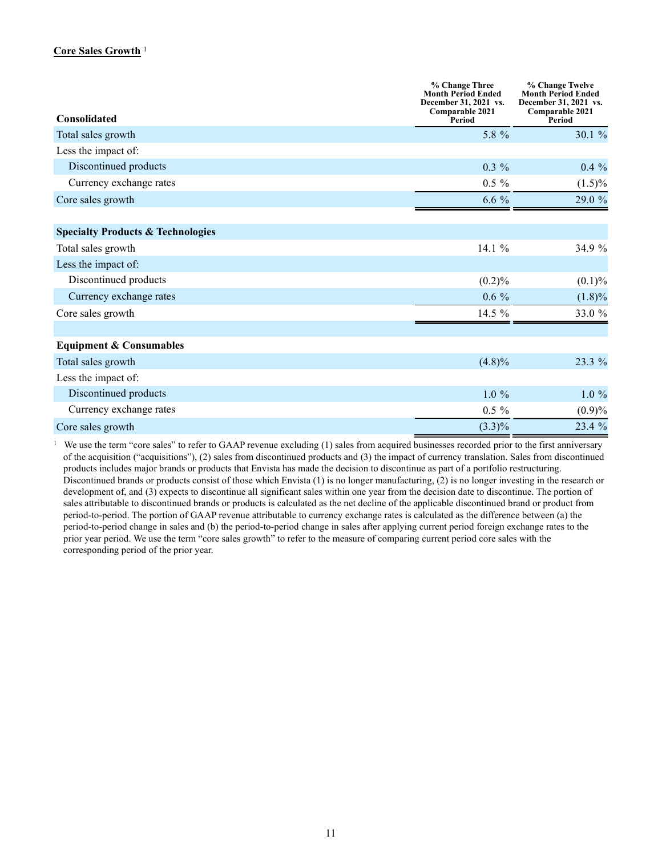## Core Sales Growth<sup>1</sup>

|                                              | % Change Three<br><b>Month Period Ended</b><br>December 31, 2021 vs.<br>Comparable 2021 | % Change Twelve<br><b>Month Period Ended</b><br>December 31, 2021 vs.<br>Comparable 2021 |
|----------------------------------------------|-----------------------------------------------------------------------------------------|------------------------------------------------------------------------------------------|
| <b>Consolidated</b>                          | Period                                                                                  | Period                                                                                   |
| Total sales growth                           | 5.8 %                                                                                   | 30.1 %                                                                                   |
| Less the impact of:                          |                                                                                         |                                                                                          |
| Discontinued products                        | $0.3\%$                                                                                 | $0.4\%$                                                                                  |
| Currency exchange rates                      | $0.5 \%$                                                                                | $(1.5)\%$                                                                                |
| Core sales growth                            | $6.6\%$                                                                                 | 29.0 %                                                                                   |
| <b>Specialty Products &amp; Technologies</b> |                                                                                         |                                                                                          |
| Total sales growth                           | 14.1 %                                                                                  | 34.9 %                                                                                   |
| Less the impact of:                          |                                                                                         |                                                                                          |
| Discontinued products                        | (0.2)%                                                                                  | $(0.1)\%$                                                                                |
| Currency exchange rates                      | $0.6\%$                                                                                 | $(1.8)\%$                                                                                |
| Core sales growth                            | 14.5 %                                                                                  | 33.0 %                                                                                   |
| <b>Equipment &amp; Consumables</b>           |                                                                                         |                                                                                          |
| Total sales growth                           | $(4.8)\%$                                                                               | 23.3 %                                                                                   |
| Less the impact of:                          |                                                                                         |                                                                                          |
| Discontinued products                        | $1.0\%$                                                                                 | $1.0 \%$                                                                                 |
| Currency exchange rates                      | $0.5 \%$                                                                                | (0.9)%                                                                                   |
| Core sales growth                            | $(3.3)\%$                                                                               | 23.4 %                                                                                   |

<sup>1</sup> We use the term "core sales" to refer to GAAP revenue excluding (1) sales from acquired businesses recorded prior to the first anniversary of the acquisition ("acquisitions"), (2) sales from discontinued products and (3) the impact of currency translation. Sales from discontinued products includes major brands or products that Envista has made the decision to discontinue as part of a portfolio restructuring. Discontinued brands or products consist of those which Envista (1) is no longer manufacturing, (2) is no longer investing in the research or development of, and (3) expects to discontinue all significant sales within one year from the decision date to discontinue. The portion of sales attributable to discontinued brands or products is calculated as the net decline of the applicable discontinued brand or product from period-to-period. The portion of GAAP revenue attributable to currency exchange rates is calculated as the difference between (a) the period-to-period change in sales and (b) the period-to-period change in sales after applying current period foreign exchange rates to the prior year period. We use the term "core sales growth" to refer to the measure of comparing current period core sales with the corresponding period of the prior year.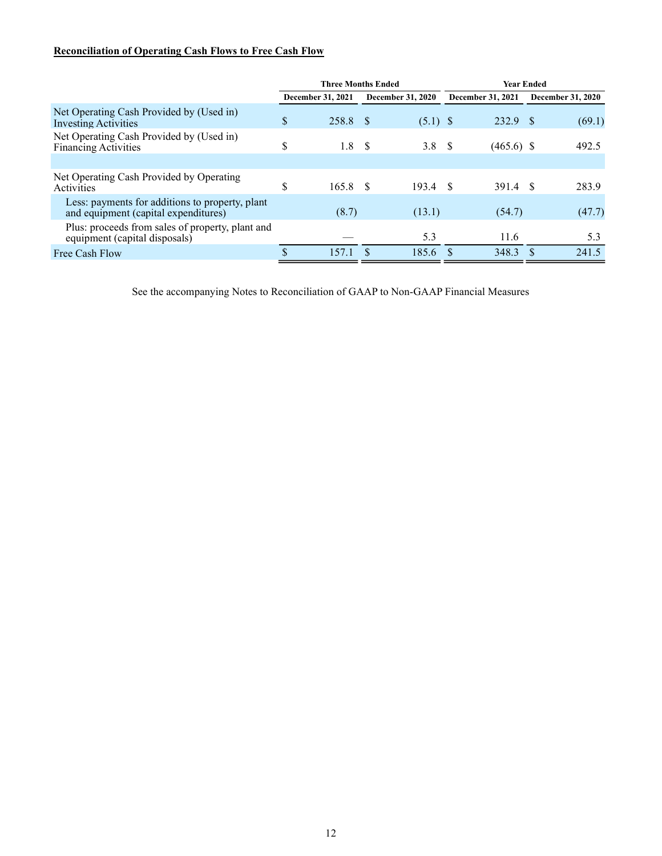# Reconciliation of Operating Cash Flows to Free Cash Flow

|                                                                                         | <b>Three Months Ended</b> |                   |    |                          | <b>Year Ended</b> |                   |  |                          |
|-----------------------------------------------------------------------------------------|---------------------------|-------------------|----|--------------------------|-------------------|-------------------|--|--------------------------|
|                                                                                         |                           | December 31, 2021 |    | <b>December 31, 2020</b> |                   | December 31, 2021 |  | <b>December 31, 2020</b> |
| Net Operating Cash Provided by (Used in)<br><b>Investing Activities</b>                 | \$                        | 258.8             |    | $(5.1)$ \$               |                   | 232.9             |  | (69.1)                   |
| Net Operating Cash Provided by (Used in)<br><b>Financing Activities</b>                 | \$                        | 1.8               | -S | 3.8 <sup>°</sup>         |                   | $(465.6)$ \$      |  | 492.5                    |
|                                                                                         |                           |                   |    |                          |                   |                   |  |                          |
| Net Operating Cash Provided by Operating<br>Activities                                  | \$                        | 165.8             | -8 | 193.4                    | - \$              | 391.4 \$          |  | 283.9                    |
| Less: payments for additions to property, plant<br>and equipment (capital expenditures) |                           | (8.7)             |    | (13.1)                   |                   | (54.7)            |  | (47.7)                   |
| Plus: proceeds from sales of property, plant and<br>equipment (capital disposals)       |                           |                   |    | 5.3                      |                   | 11.6              |  | 5.3                      |
| Free Cash Flow                                                                          | S                         | 157.1             |    | 185.6                    |                   | 348.3             |  | 241.5                    |

See the accompanying Notes to Reconciliation of GAAP to Non-GAAP Financial Measures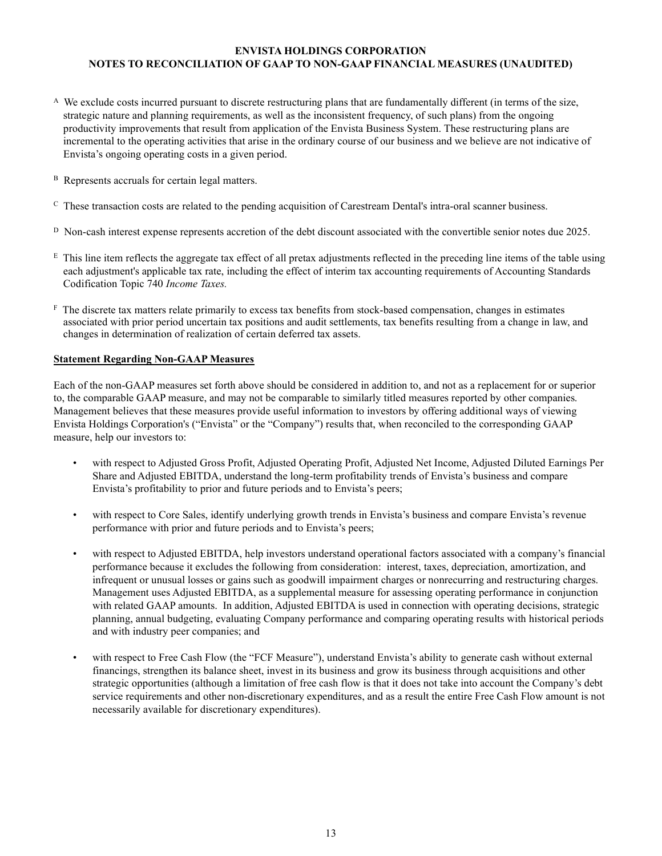### ENVISTA HOLDINGS CORPORATION NOTES TO RECONCILIATION OF GAAP TO NON-GAAP FINANCIAL MEASURES (UNAUDITED)

- $\Lambda$  We exclude costs incurred pursuant to discrete restructuring plans that are fundamentally different (in terms of the size, strategic nature and planning requirements, as well as the inconsistent frequency, of such plans) from the ongoing productivity improvements that result from application of the Envista Business System. These restructuring plans are incremental to the operating activities that arise in the ordinary course of our business and we believe are not indicative of Envista's ongoing operating costs in a given period.
- B Represents accruals for certain legal matters.
- $<sup>c</sup>$  These transaction costs are related to the pending acquisition of Carestream Dental's intra-oral scanner business.</sup>
- D Non-cash interest expense represents accretion of the debt discount associated with the convertible senior notes due 2025.
- $E$  This line item reflects the aggregate tax effect of all pretax adjustments reflected in the preceding line items of the table using each adjustment's applicable tax rate, including the effect of interim tax accounting requirements of Accounting Standards Codification Topic 740 Income Taxes.
- F The discrete tax matters relate primarily to excess tax benefits from stock-based compensation, changes in estimates associated with prior period uncertain tax positions and audit settlements, tax benefits resulting from a change in law, and changes in determination of realization of certain deferred tax assets.

### Statement Regarding Non-GAAP Measures

Each of the non-GAAP measures set forth above should be considered in addition to, and not as a replacement for or superior to, the comparable GAAP measure, and may not be comparable to similarly titled measures reported by other companies. Management believes that these measures provide useful information to investors by offering additional ways of viewing Envista Holdings Corporation's ("Envista" or the "Company") results that, when reconciled to the corresponding GAAP measure, help our investors to:

- with respect to Adjusted Gross Profit, Adjusted Operating Profit, Adjusted Net Income, Adjusted Diluted Earnings Per Share and Adjusted EBITDA, understand the long-term profitability trends of Envista's business and compare Envista's profitability to prior and future periods and to Envista's peers;
- with respect to Core Sales, identify underlying growth trends in Envista's business and compare Envista's revenue performance with prior and future periods and to Envista's peers;
- with respect to Adjusted EBITDA, help investors understand operational factors associated with a company's financial performance because it excludes the following from consideration: interest, taxes, depreciation, amortization, and infrequent or unusual losses or gains such as goodwill impairment charges or nonrecurring and restructuring charges. Management uses Adjusted EBITDA, as a supplemental measure for assessing operating performance in conjunction with related GAAP amounts. In addition, Adjusted EBITDA is used in connection with operating decisions, strategic planning, annual budgeting, evaluating Company performance and comparing operating results with historical periods and with industry peer companies; and
- with respect to Free Cash Flow (the "FCF Measure"), understand Envista's ability to generate cash without external financings, strengthen its balance sheet, invest in its business and grow its business through acquisitions and other strategic opportunities (although a limitation of free cash flow is that it does not take into account the Company's debt service requirements and other non-discretionary expenditures, and as a result the entire Free Cash Flow amount is not necessarily available for discretionary expenditures).